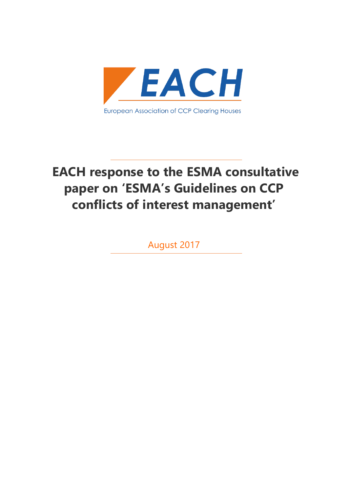

# **EACH response to the ESMA consultative paper on 'ESMA's Guidelines on CCP conflicts of interest management'**

August 2017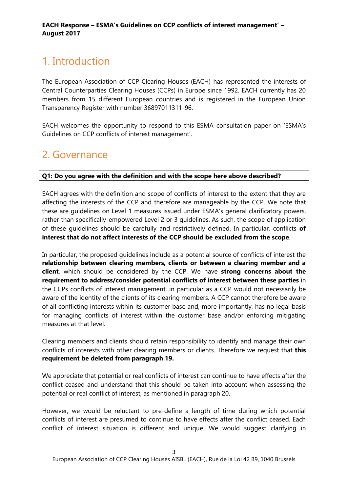# <span id="page-2-0"></span>1. Introduction

The European Association of CCP Clearing Houses (EACH) has represented the interests of Central Counterparties Clearing Houses (CCPs) in Europe since 1992. EACH currently has 20 members from 15 different European countries and is registered in the European Union Transparency Register with number 36897011311-96.

EACH welcomes the opportunity to respond to this ESMA consultation paper on 'ESMA's Guidelines on CCP conflicts of interest management'.

# <span id="page-2-1"></span>2. Governance

# **Q1: Do you agree with the definition and with the scope here above described?**

EACH agrees with the definition and scope of conflicts of interest to the extent that they are affecting the interests of the CCP and therefore are manageable by the CCP. We note that these are guidelines on Level 1 measures issued under ESMA's general clarificatory powers, rather than specifically-empowered Level 2 or 3 guidelines. As such, the scope of application of these guidelines should be carefully and restrictively defined. In particular, conflicts **of interest that do not affect interests of the CCP should be excluded from the scope**.

In particular, the proposed guidelines include as a potential source of conflicts of interest the **relationship between clearing members, clients or between a clearing member and a client**, which should be considered by the CCP. We have **strong concerns about the requirement to address/consider potential conflicts of interest between these parties** in the CCPs conflicts of interest management, in particular as a CCP would not necessarily be aware of the identity of the clients of its clearing members. A CCP cannot therefore be aware of all conflicting interests within its customer base and, more importantly, has no legal basis for managing conflicts of interest within the customer base and/or enforcing mitigating measures at that level.

Clearing members and clients should retain responsibility to identify and manage their own conflicts of interests with other clearing members or clients. Therefore we request that **this requirement be deleted from paragraph 19.**

We appreciate that potential or real conflicts of interest can continue to have effects after the conflict ceased and understand that this should be taken into account when assessing the potential or real conflict of interest, as mentioned in paragraph 20.

However, we would be reluctant to pre-define a length of time during which potential conflicts of interest are presumed to continue to have effects after the conflict ceased. Each conflict of interest situation is different and unique. We would suggest clarifying in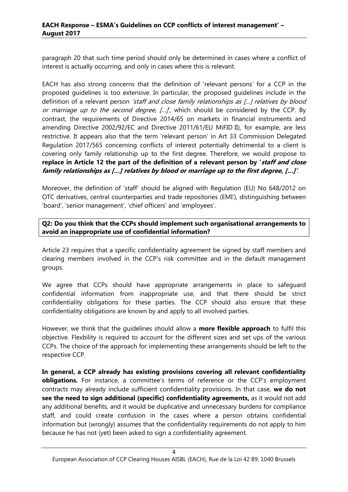paragraph 20 that such time period should only be determined in cases where a conflict of interest is actually occurring, and only in cases where this is relevant.

EACH has also strong concerns that the definition of 'relevant persons' for a CCP in the proposed guidelines is too extensive. In particular, the proposed guidelines include in the definition of a relevant person *'staff and close family relationships as [...] relatives by blood* or marriage up to the second degree,  $[...]$ , which should be considered by the CCP. By contrast, the requirements of Directive 2014/65 on markets in financial instruments and amending Directive 2002/92/EC and Directive 2011/61/EU MiFID II), for example, are less restrictive. It appears also that the term 'relevant person' in Art 33 Commission Delegated Regulation 2017/565 concerning conflicts of interest potentially detrimental to a client is covering only family relationship up to the first degree. Therefore, we would propose to **replace in Article 12 the part of the definition of a relevant person by 'staff and close family relationships as […] relatives by blood or marriage up to the first degree, […]'**.

Moreover, the definition of 'staff' should be aligned with Regulation (EU) No 648/2012 on OTC derivatives, central counterparties and trade repositories (EMI'), distinguishing between 'board', 'senior management', 'chief officers' and 'employees'.

**Q2: Do you think that the CCPs should implement such organisational arrangements to avoid an inappropriate use of confidential information?**

Article 23 requires that a specific confidentiality agreement be signed by staff members and clearing members involved in the CCP's risk committee and in the default management groups.

We agree that CCPs should have appropriate arrangements in place to safeguard confidential information from inappropriate use, and that there should be strict confidentiality obligations for these parties. The CCP should also ensure that these confidentiality obligations are known by and apply to all involved parties.

However, we think that the guidelines should allow a **more flexible approach** to fulfil this objective. Flexbility is required to account for the different sizes and set ups of the various CCPs. The choice of the approach for implementing these arrangements should be left to the respective CCP.

**In general, a CCP already has existing provisions covering all relevant confidentiality obligations.** For instance, a committee's terms of reference or the CCP's employment contracts may already include sufficient confidentiality provisions. In that case, **we do not see the need to sign additional (specific) confidentiality agreements,** as it would not add any additional benefits, and it would be duplicative and unnecessary burdens for compliance staff, and could create confusion in the cases where a person obtains confidential information but (wrongly) assumes that the confidentiality requirements do not apply to him because he has not (yet) been asked to sign a confidentiality agreement.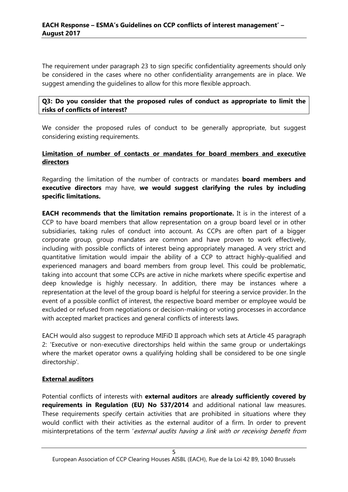The requirement under paragraph 23 to sign specific confidentiality agreements should only be considered in the cases where no other confidentiality arrangements are in place. We suggest amending the guidelines to allow for this more flexible approach.

# **Q3: Do you consider that the proposed rules of conduct as appropriate to limit the risks of conflicts of interest?**

We consider the proposed rules of conduct to be generally appropriate, but suggest considering existing requirements.

# **Limitation of number of contacts or mandates for board members and executive directors**

Regarding the limitation of the number of contracts or mandates **board members and executive directors** may have, **we would suggest clarifying the rules by including specific limitations.** 

**EACH recommends that the limitation remains proportionate.** It is in the interest of a CCP to have board members that allow representation on a group board level or in other subsidiaries, taking rules of conduct into account. As CCPs are often part of a bigger corporate group, group mandates are common and have proven to work effectively, including with possible conflicts of interest being appropriately managed. A very strict and quantitative limitation would impair the ability of a CCP to attract highly-qualified and experienced managers and board members from group level. This could be problematic, taking into account that some CCPs are active in niche markets where specific expertise and deep knowledge is highly necessary. In addition, there may be instances where a representation at the level of the group board is helpful for steering a service provider. In the event of a possible conflict of interest, the respective board member or employee would be excluded or refused from negotiations or decision-making or voting processes in accordance with accepted market practices and general conflicts of interests laws.

EACH would also suggest to reproduce MIFiD II approach which sets at Article 45 paragraph 2: 'Executive or non-executive directorships held within the same group or undertakings where the market operator owns a qualifying holding shall be considered to be one single directorship'.

# **External auditors**

Potential conflicts of interests with **external auditors** are **already sufficiently covered by requirements in Regulation (EU) No 537/2014** and additional national law measures. These requirements specify certain activities that are prohibited in situations where they would conflict with their activities as the external auditor of a firm. In order to prevent misinterpretations of the term 'external audits having a link with or receiving benefit from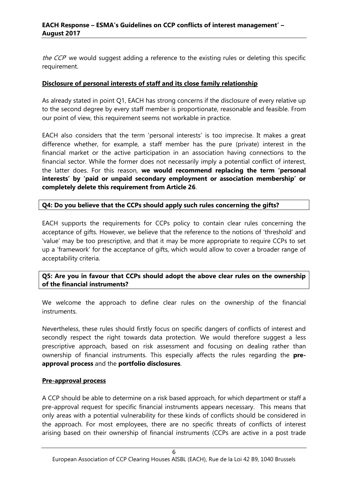the CCP' we would suggest adding a reference to the existing rules or deleting this specific requirement.

# **Disclosure of personal interests of staff and its close family relationship**

As already stated in point Q1, EACH has strong concerns if the disclosure of every relative up to the second degree by every staff member is proportionate, reasonable and feasible. From our point of view, this requirement seems not workable in practice.

EACH also considers that the term 'personal interests' is too imprecise. It makes a great difference whether, for example, a staff member has the pure (private) interest in the financial market or the active participation in an association having connections to the financial sector. While the former does not necessarily imply a potential conflict of interest, the latter does. For this reason, **we would recommend replacing the term 'personal interests' by 'paid or unpaid secondary employment or association membership' or completely delete this requirement from Article 26**.

#### **Q4: Do you believe that the CCPs should apply such rules concerning the gifts?**

EACH supports the requirements for CCPs policy to contain clear rules concerning the acceptance of gifts. However, we believe that the reference to the notions of 'threshold' and 'value' may be too prescriptive, and that it may be more appropriate to require CCPs to set up a 'framework' for the acceptance of gifts, which would allow to cover a broader range of acceptability criteria.

# **Q5: Are you in favour that CCPs should adopt the above clear rules on the ownership of the financial instruments?**

We welcome the approach to define clear rules on the ownership of the financial instruments.

Nevertheless, these rules should firstly focus on specific dangers of conflicts of interest and secondly respect the right towards data protection. We would therefore suggest a less prescriptive approach, based on risk assessment and focusing on dealing rather than ownership of financial instruments. This especially affects the rules regarding the **preapproval process** and the **portfolio disclosures**.

#### **Pre-approval process**

A CCP should be able to determine on a risk based approach, for which department or staff a pre-approval request for specific financial instruments appears necessary. This means that only areas with a potential vulnerability for these kinds of conflicts should be considered in the approach. For most employees, there are no specific threats of conflicts of interest arising based on their ownership of financial instruments (CCPs are active in a post trade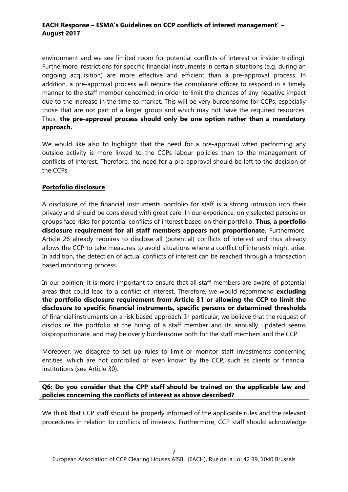environment and we see limited room for potential conflicts of interest or insider trading). Furthermore, restrictions for specific financial instruments in certain situations (e.g. during an ongoing acquisition) are more effective and efficient than a pre-approval process. In addition, a pre-approval process will require the compliance officer to respond in a timely manner to the staff member concerned, in order to limit the chances of any negative impact due to the increase in the time to market. This will be very burdensome for CCPs, especially those that are not part of a larger group and which may not have the required resources. Thus, **the pre-approval process should only be one option rather than a mandatory approach.**

We would like also to highlight that the need for a pre-approval when performing any outside activity is more linked to the CCPs labour policies than to the management of conflicts of interest. Therefore, the need for a pre-approval should be left to the decision of the CCPs.

# **Portofolio disclosure**

A disclosure of the financial instruments portfolio for staff is a strong intrusion into their privacy and should be considered with great care. In our experience, only selected persons or groups face risks for potential conflicts of interest based on their portfolio. **Thus, a portfolio disclosure requirement for all staff members appears not proportionate.** Furthermore, Article 26 already requires to disclose all (potential) conflicts of interest and thus already allows the CCP to take measures to avoid situations where a conflict of interests might arise. In addition, the detection of actual conflicts of interest can be reached through a transaction based monitoring process.

In our opinion, it is more important to ensure that all staff members are aware of potential areas that could lead to a conflict of interest. Therefore, we would recommend **excluding the portfolio disclosure requirement from Article 31 or allowing the CCP to limit the disclosure to specific financial instruments, specific persons or determined thresholds** of financial instruments on a risk based approach. In particular, we believe that the request of disclosure the portfolio at the hiring of a staff member and its annually updated seems disproportionate, and may be overly burdensome both for the staff members and the CCP.

Moreover, we disagree to set up rules to limit or monitor staff investments concerning entities, which are not controlled or even known by the CCP; such as clients or financial institutions (see Article 30).

# **Q6: Do you consider that the CPP staff should be trained on the applicable law and policies concerning the conflicts of interest as above described?**

We think that CCP staff should be properly informed of the applicable rules and the relevant procedures in relation to conflicts of interests. Furthermore, CCP staff should acknowledge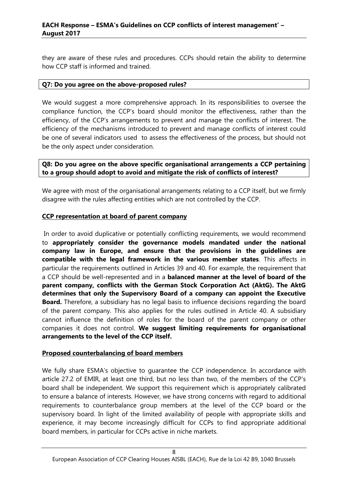# **EACH Response – ESMA's Guidelines on CCP conflicts of interest management' – August 2017**

they are aware of these rules and procedures. CCPs should retain the ability to determine how CCP staff is informed and trained.

#### **Q7: Do you agree on the above-proposed rules?**

We would suggest a more comprehensive approach. In its responsibilities to oversee the compliance function, the CCP's board should monitor the effectiveness, rather than the efficiency, of the CCP's arrangements to prevent and manage the conflicts of interest. The efficiency of the mechanisms introduced to prevent and manage conflicts of interest could be one of several indicators used to assess the effectiveness of the process, but should not be the only aspect under consideration.

**Q8: Do you agree on the above specific organisational arrangements a CCP pertaining to a group should adopt to avoid and mitigate the risk of conflicts of interest?**

We agree with most of the organisational arrangements relating to a CCP itself, but we firmly disagree with the rules affecting entities which are not controlled by the CCP.

#### **CCP representation at board of parent company**

In order to avoid duplicative or potentially conflicting requirements, we would recommend to **appropriately consider the governance models mandated under the national company law in Europe, and ensure that the provisions in the guidelines are compatible with the legal framework in the various member states**. This affects in particular the requirements outlined in Articles 39 and 40. For example, the requirement that a CCP should be well-represented and in a **balanced manner at the level of board of the parent company, conflicts with the German Stock Corporation Act (AktG). The AktG determines that only the Supervisory Board of a company can appoint the Executive Board.** Therefore, a subsidiary has no legal basis to influence decisions regarding the board of the parent company. This also applies for the rules outlined in Article 40. A subsidiary cannot influence the definition of roles for the board of the parent company or other companies it does not control. **We suggest limiting requirements for organisational arrangements to the level of the CCP itself.**

# **Proposed counterbalancing of board members**

We fully share ESMA's objective to guarantee the CCP independence. In accordance with article 27.2 of EMIR, at least one third, but no less than two, of the members of the CCP's board shall be independent. We support this requirement which is appropriately calibrated to ensure a balance of interests. However, we have strong concerns with regard to additional requirements to counterbalance group members at the level of the CCP board or the supervisory board. In light of the limited availability of people with appropriate skills and experience, it may become increasingly difficult for CCPs to find appropriate additional board members, in particular for CCPs active in niche markets.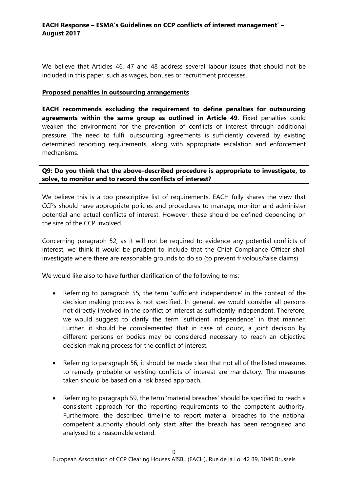We believe that Articles 46, 47 and 48 address several labour issues that should not be included in this paper, such as wages, bonuses or recruitment processes.

#### **Proposed penalties in outsourcing arrangements**

**EACH recommends excluding the requirement to define penalties for outsourcing agreements within the same group as outlined in Article 49**. Fixed penalties could weaken the environment for the prevention of conflicts of interest through additional pressure. The need to fulfil outsourcing agreements is sufficiently covered by existing determined reporting requirements, along with appropriate escalation and enforcement mechanisms.

#### **Q9: Do you think that the above-described procedure is appropriate to investigate, to solve, to monitor and to record the conflicts of interest?**

We believe this is a too prescriptive list of requirements. EACH fully shares the view that CCPs should have appropriate policies and procedures to manage, monitor and administer potential and actual conflicts of interest. However, these should be defined depending on the size of the CCP involved.

Concerning paragraph 52, as it will not be required to evidence any potential conflicts of interest, we think it would be prudent to include that the Chief Compliance Officer shall investigate where there are reasonable grounds to do so (to prevent frivolous/false claims).

We would like also to have further clarification of the following terms:

- Referring to paragraph 55, the term 'sufficient independence' in the context of the decision making process is not specified. In general, we would consider all persons not directly involved in the conflict of interest as sufficiently independent. Therefore, we would suggest to clarify the term 'sufficient independence' in that manner. Further, it should be complemented that in case of doubt, a joint decision by different persons or bodies may be considered necessary to reach an objective decision making process for the conflict of interest.
- Referring to paragraph 56, it should be made clear that not all of the listed measures to remedy probable or existing conflicts of interest are mandatory. The measures taken should be based on a risk based approach.
- Referring to paragraph 59, the term 'material breaches' should be specified to reach a consistent approach for the reporting requirements to the competent authority. Furthermore, the described timeline to report material breaches to the national competent authority should only start after the breach has been recognised and analysed to a reasonable extend.